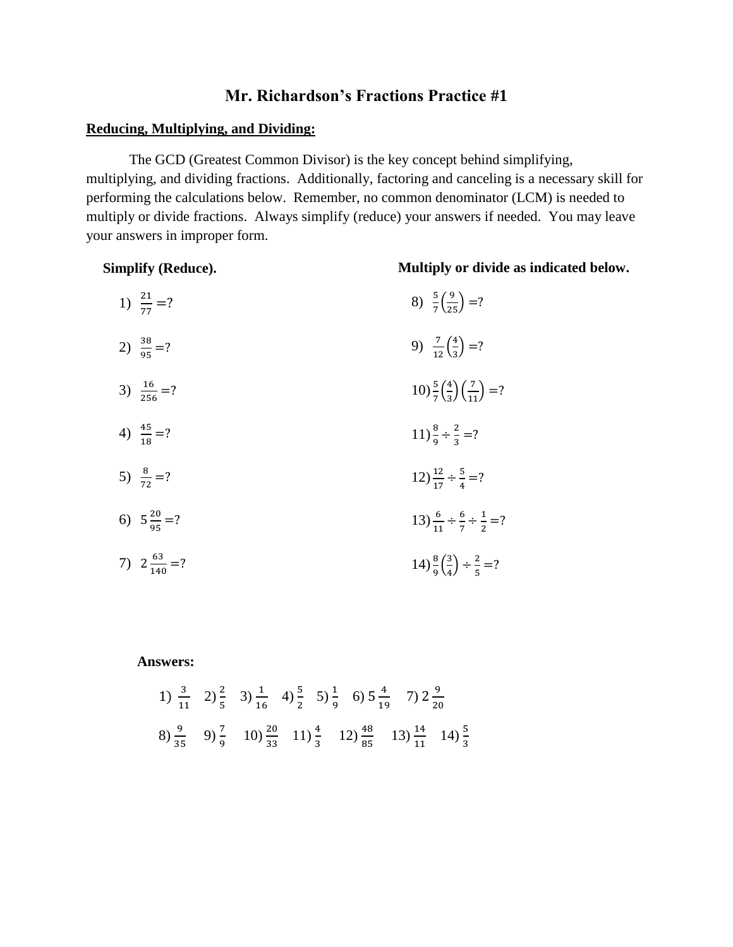# **Mr. Richardson's Fractions Practice #1**

### **Reducing, Multiplying, and Dividing:**

The GCD (Greatest Common Divisor) is the key concept behind simplifying, multiplying, and dividing fractions. Additionally, factoring and canceling is a necessary skill for performing the calculations below. Remember, no common denominator (LCM) is needed to multiply or divide fractions. Always simplify (reduce) your answers if needed. You may leave your answers in improper form.

**Simplify (Reduce).**

### **Multiply or divide as indicated below.**

| 1) $\frac{21}{77}$ =?   | 8) $\frac{5}{7} \left( \frac{9}{25} \right) = ?$                        |
|-------------------------|-------------------------------------------------------------------------|
| 2) $\frac{38}{95}$ =?   | 9) $\frac{7}{12} \left( \frac{4}{3} \right) = ?$                        |
| 3) $\frac{16}{256}$ =?  | $10\frac{5}{7}\left(\frac{4}{3}\right)\left(\frac{7}{11}\right)=?$      |
| 4) $\frac{45}{18}$ =?   | $11\frac{8}{9} \div \frac{2}{3} = ?$                                    |
| 5) $\frac{8}{72}$ =?    | $12\frac{12}{17} \div \frac{5}{4} = ?$                                  |
| 6) $5\frac{20}{95}$ =?  | 13) $\frac{6}{11} \div \frac{6}{7} \div \frac{1}{2} = ?$                |
| 7) $2\frac{63}{140}$ =? | $14)$ $\frac{8}{9}$ $\left(\frac{3}{4}\right)$ $\div \frac{2}{5}$ $=$ ? |

#### **Answers:**

1) 
$$
\frac{3}{11}
$$
 2)  $\frac{2}{5}$  3)  $\frac{1}{16}$  4)  $\frac{5}{2}$  5)  $\frac{1}{9}$  6)  $5\frac{4}{19}$  7)  $2\frac{9}{20}$   
8)  $\frac{9}{35}$  9)  $\frac{7}{9}$  10)  $\frac{20}{33}$  11)  $\frac{4}{3}$  12)  $\frac{48}{85}$  13)  $\frac{14}{11}$  14)  $\frac{5}{3}$